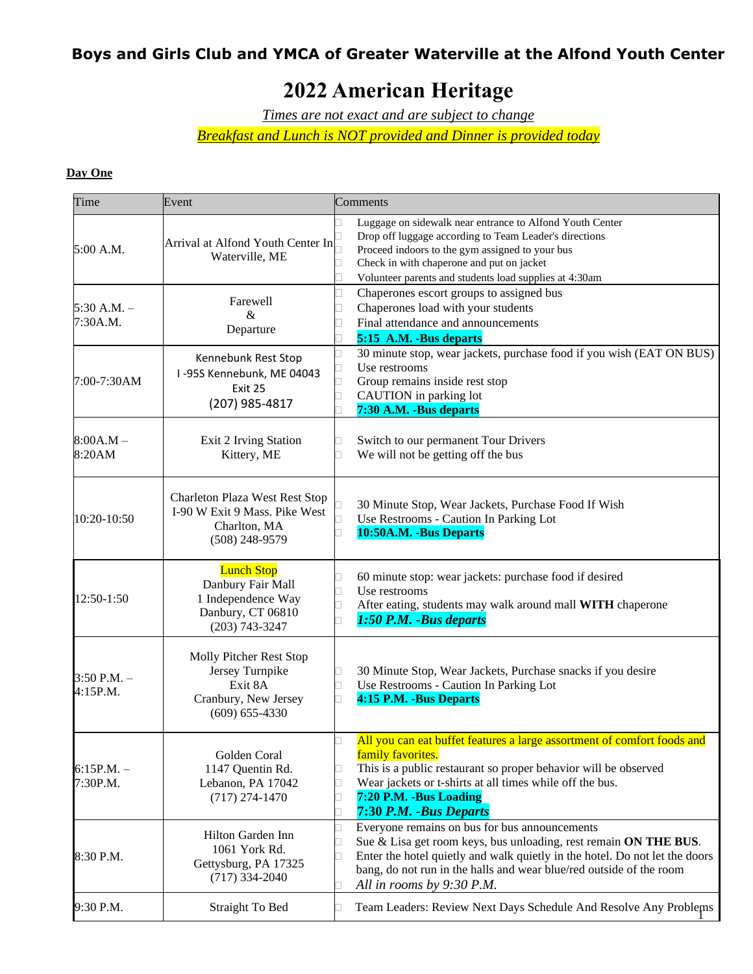# **2022 American Heritage**

*Times are not exact and are subject to change*

*Breakfast and Lunch is NOT provided and Dinner is provided today*

#### **Day One**

| Time                        | Event                                                                                                 | Comments                                                                                                                                                                                                                                                                                             |
|-----------------------------|-------------------------------------------------------------------------------------------------------|------------------------------------------------------------------------------------------------------------------------------------------------------------------------------------------------------------------------------------------------------------------------------------------------------|
| 5:00 A.M.                   | Arrival at Alfond Youth Center In<br>Waterville, ME                                                   | Luggage on sidewalk near entrance to Alfond Youth Center<br>Drop off luggage according to Team Leader's directions<br>Proceed indoors to the gym assigned to your bus<br>Check in with chaperone and put on jacket<br>Volunteer parents and students load supplies at 4:30am                         |
| $5:30$ A.M. $-$<br>7:30A.M. | Farewell<br>&<br>Departure                                                                            | Chaperones escort groups to assigned bus<br>Chaperones load with your students<br>Final attendance and announcements<br>5:15 A.M. -Bus departs                                                                                                                                                       |
| 7:00-7:30AM                 | Kennebunk Rest Stop<br>I-95S Kennebunk, ME 04043<br>Exit 25<br>(207) 985-4817                         | 30 minute stop, wear jackets, purchase food if you wish (EAT ON BUS)<br>Use restrooms<br>Group remains inside rest stop<br>CAUTION in parking lot<br>7:30 A.M. -Bus departs                                                                                                                          |
| $8:00A.M -$<br>8:20AM       | Exit 2 Irving Station<br>Kittery, ME                                                                  | Switch to our permanent Tour Drivers<br>We will not be getting off the bus                                                                                                                                                                                                                           |
| 10:20-10:50                 | Charleton Plaza West Rest Stop<br>I-90 W Exit 9 Mass. Pike West<br>Charlton, MA<br>$(508)$ 248-9579   | 30 Minute Stop, Wear Jackets, Purchase Food If Wish<br>Use Restrooms - Caution In Parking Lot<br>10:50A.M. -Bus Departs                                                                                                                                                                              |
| 12:50-1:50                  | <b>Lunch Stop</b><br>Danbury Fair Mall<br>1 Independence Way<br>Danbury, CT 06810<br>$(203)$ 743-3247 | 60 minute stop: wear jackets: purchase food if desired<br>Use restrooms<br>After eating, students may walk around mall WITH chaperone<br>1:50 P.M. - Bus departs                                                                                                                                     |
| $3:50$ P.M. $-$<br>4:15P.M. | Molly Pitcher Rest Stop<br>Jersey Turnpike<br>Exit 8A<br>Cranbury, New Jersey<br>$(609) 655 - 4330$   | 30 Minute Stop, Wear Jackets, Purchase snacks if you desire<br>Use Restrooms - Caution In Parking Lot<br>4:15 P.M. -Bus Departs                                                                                                                                                                      |
| $6:15P.M. -$<br>7:30P.M.    | Golden Coral<br>1147 Quentin Rd.<br>Lebanon, PA 17042<br>$(717)$ 274-1470                             | All you can eat buffet features a large assortment of comfort foods and<br>family favorites.<br>This is a public restaurant so proper behavior will be observed<br>Wear jackets or t-shirts at all times while off the bus.<br>7:20 P.M. -Bus Loading<br>7:30 P.M. - Bus Departs                     |
| 8:30 P.M.                   | Hilton Garden Inn<br>1061 York Rd.<br>Gettysburg, PA 17325<br>$(717)$ 334-2040                        | Everyone remains on bus for bus announcements<br>Sue & Lisa get room keys, bus unloading, rest remain ON THE BUS.<br>Enter the hotel quietly and walk quietly in the hotel. Do not let the doors<br>bang, do not run in the halls and wear blue/red outside of the room<br>All in rooms by 9:30 P.M. |
| 9:30 P.M.                   | <b>Straight To Bed</b>                                                                                | Team Leaders: Review Next Days Schedule And Resolve Any Problems                                                                                                                                                                                                                                     |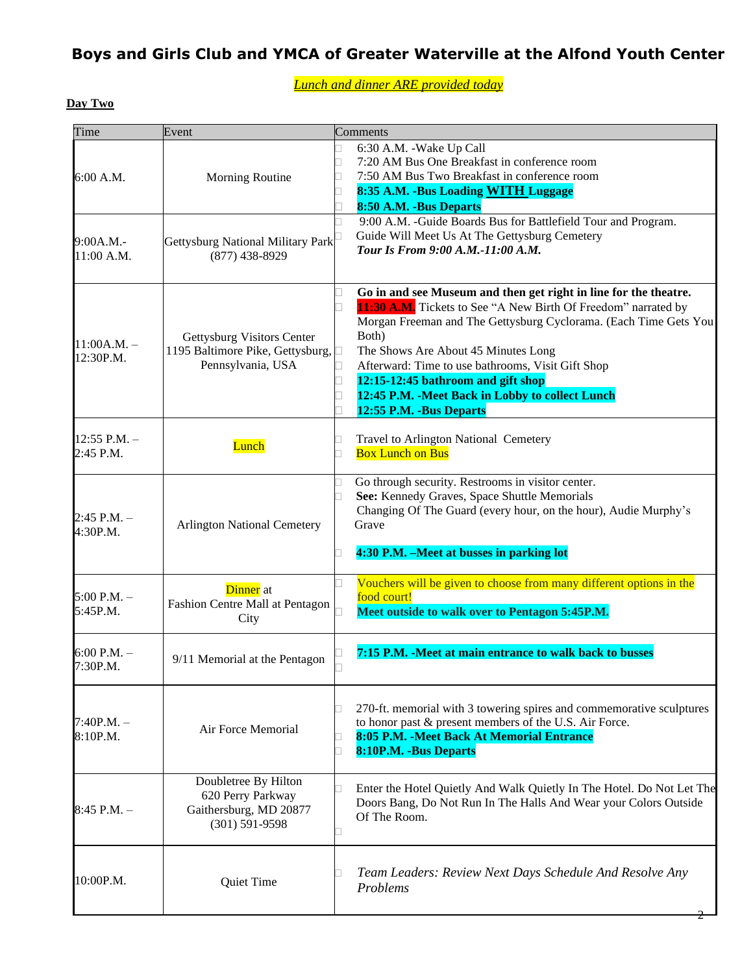*Lunch and dinner ARE provided today*

### **Day Two**

| Time                        | Event                                                                                     | Comments                                                                                                                                                                                                                                                                                                                                                                                                                         |
|-----------------------------|-------------------------------------------------------------------------------------------|----------------------------------------------------------------------------------------------------------------------------------------------------------------------------------------------------------------------------------------------------------------------------------------------------------------------------------------------------------------------------------------------------------------------------------|
| 6:00 A.M.                   | <b>Morning Routine</b>                                                                    | 6:30 A.M. - Wake Up Call<br>7:20 AM Bus One Breakfast in conference room<br>7:50 AM Bus Two Breakfast in conference room<br>8:35 A.M. - Bus Loading WITH Luggage<br>8:50 A.M. -Bus Departs<br>9:00 A.M. -Guide Boards Bus for Battlefield Tour and Program.<br>Guide Will Meet Us At The Gettysburg Cemetery                                                                                                                     |
| 9:00A.M.-<br>11:00 A.M.     | Gettysburg National Military Park<br>$(877)$ 438-8929                                     | Tour Is From 9:00 A.M.-11:00 A.M.                                                                                                                                                                                                                                                                                                                                                                                                |
| $11:00A.M. -$<br>12:30P.M.  | Gettysburg Visitors Center<br>1195 Baltimore Pike, Gettysburg, □<br>Pennsylvania, USA     | Go in and see Museum and then get right in line for the theatre.<br>11:30 A.M. Tickets to See "A New Birth Of Freedom" narrated by<br>Morgan Freeman and The Gettysburg Cyclorama. (Each Time Gets You<br>Both)<br>The Shows Are About 45 Minutes Long<br>Afterward: Time to use bathrooms, Visit Gift Shop<br>12:15-12:45 bathroom and gift shop<br>12:45 P.M. - Meet Back in Lobby to collect Lunch<br>12:55 P.M. -Bus Departs |
| 12:55 P.M. $-$<br>2:45 P.M. | Lunch                                                                                     | Travel to Arlington National Cemetery<br><b>Box Lunch on Bus</b>                                                                                                                                                                                                                                                                                                                                                                 |
| $2:45$ P.M. $-$<br>4:30P.M. | <b>Arlington National Cemetery</b>                                                        | Go through security. Restrooms in visitor center.<br>See: Kennedy Graves, Space Shuttle Memorials<br>Changing Of The Guard (every hour, on the hour), Audie Murphy's<br>Grave<br>4:30 P.M. - Meet at busses in parking lot                                                                                                                                                                                                       |
| $5:00$ P.M. $-$<br>5:45P.M. | Dinner at<br>Fashion Centre Mall at Pentagon<br>City                                      | Vouchers will be given to choose from many different options in the<br>food court!<br>Meet outside to walk over to Pentagon 5:45P.M.                                                                                                                                                                                                                                                                                             |
| $6:00$ P.M. $-$<br>7:30P.M. | 9/11 Memorial at the Pentagon                                                             | 7:15 P.M. -Meet at main entrance to walk back to busses                                                                                                                                                                                                                                                                                                                                                                          |
| $7:40P.M. -$<br>8:10P.M.    | Air Force Memorial                                                                        | 270-ft. memorial with 3 towering spires and commemorative sculptures<br>to honor past & present members of the U.S. Air Force.<br>8:05 P.M. - Meet Back At Memorial Entrance<br>8:10P.M. - Bus Departs                                                                                                                                                                                                                           |
| $8:45$ P.M. $-$             | Doubletree By Hilton<br>620 Perry Parkway<br>Gaithersburg, MD 20877<br>$(301) 591 - 9598$ | Enter the Hotel Quietly And Walk Quietly In The Hotel. Do Not Let The<br>Doors Bang, Do Not Run In The Halls And Wear your Colors Outside<br>Of The Room.                                                                                                                                                                                                                                                                        |
| 10:00P.M.                   | Quiet Time                                                                                | Team Leaders: Review Next Days Schedule And Resolve Any<br>Problems                                                                                                                                                                                                                                                                                                                                                              |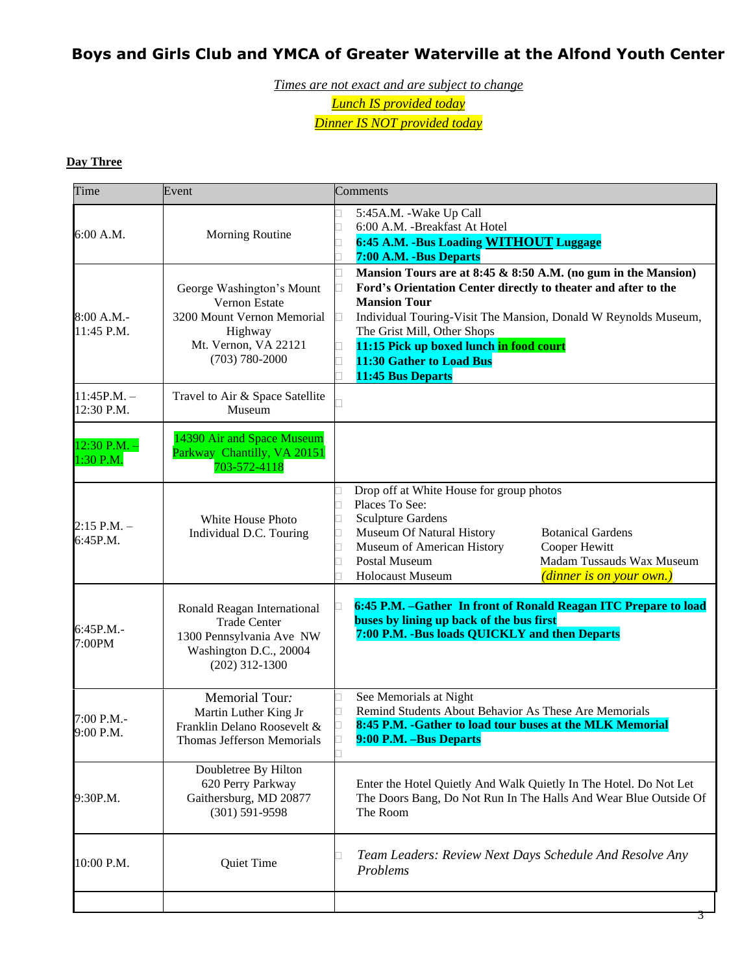*Times are not exact and are subject to change Lunch IS provided today Dinner IS NOT provided today*

#### **Day Three**

| Time                          | Event                                                                                                                             | Comments                                                                                                                                                                                                                                                                                                                                             |
|-------------------------------|-----------------------------------------------------------------------------------------------------------------------------------|------------------------------------------------------------------------------------------------------------------------------------------------------------------------------------------------------------------------------------------------------------------------------------------------------------------------------------------------------|
| 6:00 A.M.                     | Morning Routine                                                                                                                   | 5:45A.M. - Wake Up Call<br>6:00 A.M. - Breakfast At Hotel<br>6:45 A.M. - Bus Loading WITHOUT Luggage<br>7:00 A.M. -Bus Departs                                                                                                                                                                                                                       |
| 8:00 A.M.<br>11:45 P.M.       | George Washington's Mount<br>Vernon Estate<br>3200 Mount Vernon Memorial<br>Highway<br>Mt. Vernon, VA 22121<br>$(703) 780 - 2000$ | Mansion Tours are at 8:45 & 8:50 A.M. (no gum in the Mansion)<br>Ford's Orientation Center directly to theater and after to the<br><b>Mansion Tour</b><br>Individual Touring-Visit The Mansion, Donald W Reynolds Museum,<br>The Grist Mill, Other Shops<br>11:15 Pick up boxed lunch in food court<br>11:30 Gather to Load Bus<br>11:45 Bus Departs |
| $11:45P.M. -$<br>12:30 P.M.   | Travel to Air & Space Satellite<br>Museum                                                                                         |                                                                                                                                                                                                                                                                                                                                                      |
| $12:30$ P.M. $-$<br>1:30 P.M. | 14390 Air and Space Museum<br>Parkway Chantilly, VA 20151<br>703-572-4118                                                         |                                                                                                                                                                                                                                                                                                                                                      |
| $2:15$ P.M. $-$<br>6:45P.M.   | White House Photo<br>Individual D.C. Touring                                                                                      | Drop off at White House for group photos<br>Places To See:<br><b>Sculpture Gardens</b><br>Museum Of Natural History<br><b>Botanical Gardens</b><br>Museum of American History<br>Cooper Hewitt<br>Postal Museum<br>Madam Tussauds Wax Museum<br>(dinner is on your own.)<br><b>Holocaust Museum</b>                                                  |
| 6:45P.M.-<br>7:00PM           | Ronald Reagan International<br><b>Trade Center</b><br>1300 Pennsylvania Ave NW<br>Washington D.C., 20004<br>$(202)$ 312-1300      | 6:45 P.M. - Gather In front of Ronald Reagan ITC Prepare to load<br>buses by lining up back of the bus first<br>7:00 P.M. -Bus loads QUICKLY and then Departs                                                                                                                                                                                        |
| 7:00 P.M.-<br>9:00 P.M.       | Memorial Tour:<br>Martin Luther King Jr<br>Franklin Delano Roosevelt &<br><b>Thomas Jefferson Memorials</b>                       | See Memorials at Night<br>Remind Students About Behavior As These Are Memorials<br>8:45 P.M. - Gather to load tour buses at the MLK Memorial<br>9:00 P.M. –Bus Departs                                                                                                                                                                               |
| 9:30P.M.                      | Doubletree By Hilton<br>620 Perry Parkway<br>Gaithersburg, MD 20877<br>$(301) 591 - 9598$                                         | Enter the Hotel Quietly And Walk Quietly In The Hotel. Do Not Let<br>The Doors Bang, Do Not Run In The Halls And Wear Blue Outside Of<br>The Room                                                                                                                                                                                                    |
| 10:00 P.M.                    | Quiet Time                                                                                                                        | Team Leaders: Review Next Days Schedule And Resolve Any<br>Problems                                                                                                                                                                                                                                                                                  |
|                               |                                                                                                                                   |                                                                                                                                                                                                                                                                                                                                                      |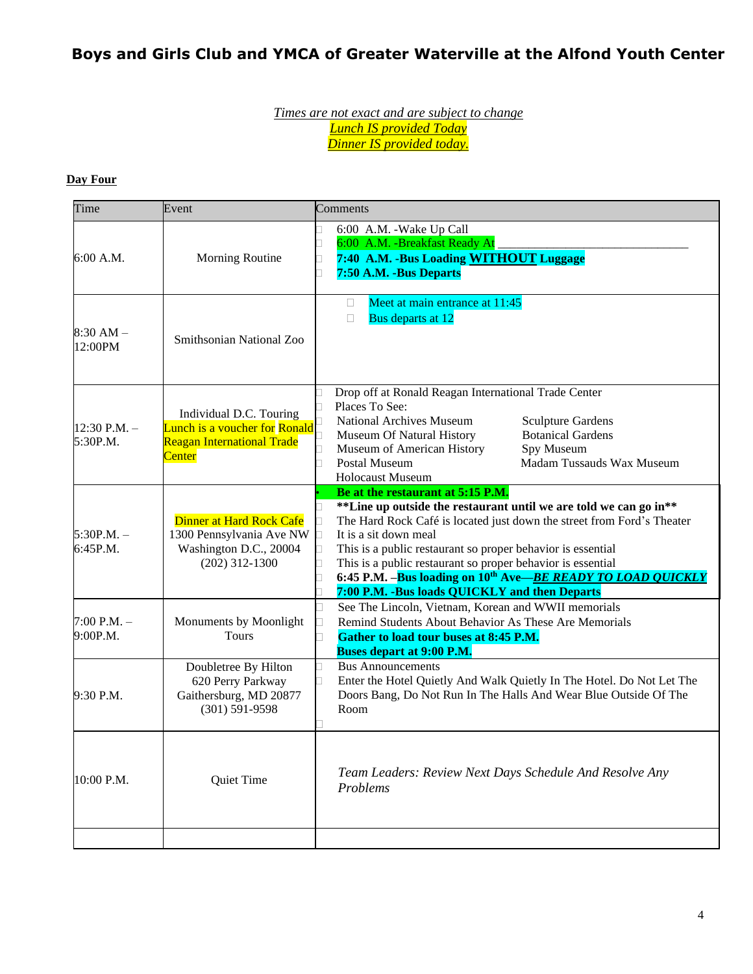#### *Times are not exact and are subject to change Lunch IS provided Today Dinner IS provided today.*

#### **Day Four**

| Time                        | Event                                                                                                          | Comments                                                                                                                                                                                                                                                                                                                                                                                                                                                 |
|-----------------------------|----------------------------------------------------------------------------------------------------------------|----------------------------------------------------------------------------------------------------------------------------------------------------------------------------------------------------------------------------------------------------------------------------------------------------------------------------------------------------------------------------------------------------------------------------------------------------------|
| 6:00 A.M.                   | Morning Routine                                                                                                | 6:00 A.M. -Wake Up Call<br>6:00 A.M. - Breakfast Ready At<br>7:40 A.M. -Bus Loading WITHOUT Luggage<br>7:50 A.M. -Bus Departs                                                                                                                                                                                                                                                                                                                            |
| $8:30 AM -$<br>12:00PM      | Smithsonian National Zoo                                                                                       | Meet at main entrance at 11:45<br>$\Box$<br>Bus departs at 12<br>$\Box$                                                                                                                                                                                                                                                                                                                                                                                  |
| 12:30 P.M. $-$<br>5:30P.M.  | Individual D.C. Touring<br><b>Lunch is a voucher for Ronald</b><br>Reagan International Trade<br><b>Center</b> | Drop off at Ronald Reagan International Trade Center<br>Places To See:<br><b>National Archives Museum</b><br><b>Sculpture Gardens</b><br><b>Botanical Gardens</b><br>Museum Of Natural History<br>Museum of American History<br>Spy Museum<br>Madam Tussauds Wax Museum<br>Postal Museum<br><b>Holocaust Museum</b>                                                                                                                                      |
| $5:30P.M. -$<br>6:45P.M.    | Dinner at Hard Rock Cafe<br>1300 Pennsylvania Ave NW<br>Washington D.C., 20004<br>$(202)$ 312-1300             | Be at the restaurant at 5:15 P.M.<br>**Line up outside the restaurant until we are told we can go in**<br>The Hard Rock Café is located just down the street from Ford's Theater<br>It is a sit down meal<br>This is a public restaurant so proper behavior is essential<br>This is a public restaurant so proper behavior is essential<br>6:45 P.M. -Bus loading on 10th Ave-BE READY TO LOAD QUICKLY<br>7:00 P.M. - Bus loads QUICKLY and then Departs |
| $7:00$ P.M. $-$<br>9:00P.M. | Monuments by Moonlight<br>Tours                                                                                | See The Lincoln, Vietnam, Korean and WWII memorials<br>Remind Students About Behavior As These Are Memorials<br>Gather to load tour buses at 8:45 P.M.<br><b>Buses depart at 9:00 P.M.</b>                                                                                                                                                                                                                                                               |
| 9:30 P.M.                   | Doubletree By Hilton<br>620 Perry Parkway<br>Gaithersburg, MD 20877<br>$(301) 591 - 9598$                      | <b>Bus Announcements</b><br>Enter the Hotel Quietly And Walk Quietly In The Hotel. Do Not Let The<br>Doors Bang, Do Not Run In The Halls And Wear Blue Outside Of The<br>Room                                                                                                                                                                                                                                                                            |
| 10:00 P.M.                  | Quiet Time                                                                                                     | Team Leaders: Review Next Days Schedule And Resolve Any<br>Problems                                                                                                                                                                                                                                                                                                                                                                                      |
|                             |                                                                                                                |                                                                                                                                                                                                                                                                                                                                                                                                                                                          |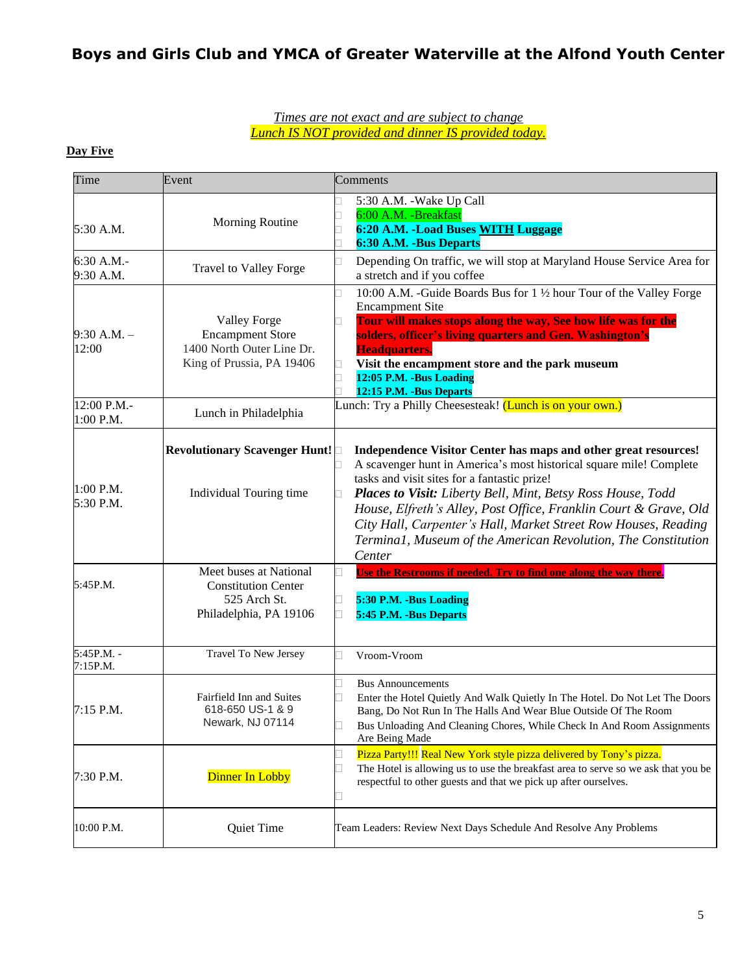#### *Times are not exact and are subject to change Lunch IS NOT provided and dinner IS provided today.*

#### **Day Five**

| Time                     | Event                                                                                                    | Comments                                                                                                                                                                                                                                                                                                                                                                                                                                                               |
|--------------------------|----------------------------------------------------------------------------------------------------------|------------------------------------------------------------------------------------------------------------------------------------------------------------------------------------------------------------------------------------------------------------------------------------------------------------------------------------------------------------------------------------------------------------------------------------------------------------------------|
| 5:30 A.M.                | Morning Routine                                                                                          | 5:30 A.M. - Wake Up Call<br>6:00 A.M. - Breakfast<br>6:20 A.M. - Load Buses WITH Luggage<br>6:30 A.M. - Bus Departs                                                                                                                                                                                                                                                                                                                                                    |
| 6:30 A.M.-<br>9:30 A.M.  | <b>Travel to Valley Forge</b>                                                                            | Depending On traffic, we will stop at Maryland House Service Area for<br>a stretch and if you coffee                                                                                                                                                                                                                                                                                                                                                                   |
| $9:30$ A.M. $-$<br>12:00 | <b>Valley Forge</b><br><b>Encampment Store</b><br>1400 North Outer Line Dr.<br>King of Prussia, PA 19406 | 10:00 A.M. -Guide Boards Bus for 1 1/2 hour Tour of the Valley Forge<br><b>Encampment Site</b><br>Tour will makes stops along the way, See how life was for the<br>solders, officer's living quarters and Gen. Washington's<br>Headquarters.<br>Visit the encampment store and the park museum<br>12:05 P.M. -Bus Loading<br>12:15 P.M. - Bus Departs                                                                                                                  |
| 12:00 P.M.-<br>1:00 P.M. | Lunch in Philadelphia                                                                                    | Lunch: Try a Philly Cheesesteak! (Lunch is on your own.)                                                                                                                                                                                                                                                                                                                                                                                                               |
| 1:00 P.M.<br>5:30 P.M.   | Revolutionary Scavenger Hunt!<br>Individual Touring time                                                 | Independence Visitor Center has maps and other great resources!<br>A scavenger hunt in America's most historical square mile! Complete<br>tasks and visit sites for a fantastic prize!<br>Places to Visit: Liberty Bell, Mint, Betsy Ross House, Todd<br>House, Elfreth's Alley, Post Office, Franklin Court & Grave, Old<br>City Hall, Carpenter's Hall, Market Street Row Houses, Reading<br>Termina1, Museum of the American Revolution, The Constitution<br>Center |
| 5:45P.M.                 | Meet buses at National<br><b>Constitution Center</b><br>525 Arch St.<br>Philadelphia, PA 19106           | <b>Use the Restrooms if needed. Try to find one along the way there.</b><br>5:30 P.M. -Bus Loading<br>5:45 P.M. - Bus Departs                                                                                                                                                                                                                                                                                                                                          |
| 5:45P.M. -<br>7:15P.M.   | Travel To New Jersey                                                                                     | Vroom-Vroom                                                                                                                                                                                                                                                                                                                                                                                                                                                            |
| 7:15 P.M.                | Fairfield Inn and Suites<br>618-650 US-1 & 9<br>Newark, NJ 07114                                         | <b>Bus Announcements</b><br>Enter the Hotel Quietly And Walk Quietly In The Hotel. Do Not Let The Doors<br>Bang, Do Not Run In The Halls And Wear Blue Outside Of The Room<br>Bus Unloading And Cleaning Chores, While Check In And Room Assignments<br>Are Being Made                                                                                                                                                                                                 |
| 7:30 P.M.                | <b>Dinner In Lobby</b>                                                                                   | Pizza Party!!! Real New York style pizza delivered by Tony's pizza.<br>The Hotel is allowing us to use the breakfast area to serve so we ask that you be<br>respectful to other guests and that we pick up after ourselves.                                                                                                                                                                                                                                            |
| 10:00 P.M.               | Quiet Time                                                                                               | Team Leaders: Review Next Days Schedule And Resolve Any Problems                                                                                                                                                                                                                                                                                                                                                                                                       |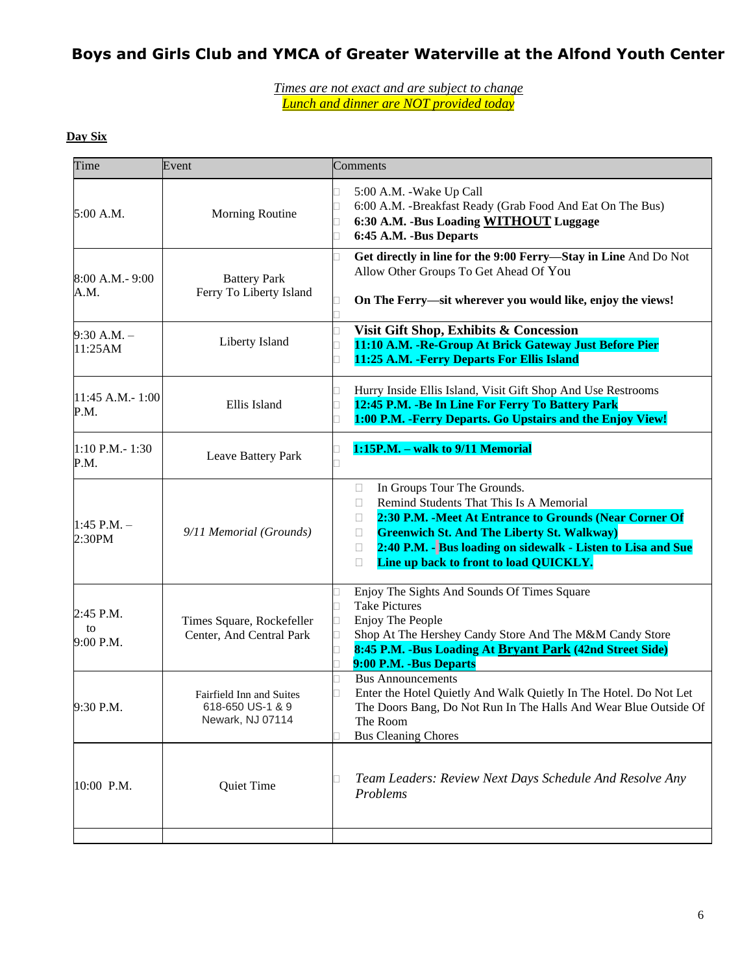*Times are not exact and are subject to change Lunch and dinner are NOT provided today*

### **Day Six**

| Time                           | Event                                                            | Comments                                                                                                                                                                                                                                                                                                                       |
|--------------------------------|------------------------------------------------------------------|--------------------------------------------------------------------------------------------------------------------------------------------------------------------------------------------------------------------------------------------------------------------------------------------------------------------------------|
| 5:00 A.M.                      | Morning Routine                                                  | 5:00 A.M. - Wake Up Call<br>6:00 A.M. -Breakfast Ready (Grab Food And Eat On The Bus)<br>6:30 A.M. - Bus Loading WITHOUT Luggage<br>6:45 A.M. -Bus Departs<br>$\overline{\phantom{a}}$                                                                                                                                         |
| 8:00 A.M.- 9:00<br>A.M.        | <b>Battery Park</b><br>Ferry To Liberty Island                   | Get directly in line for the 9:00 Ferry-Stay in Line And Do Not<br>Allow Other Groups To Get Ahead Of You<br>On The Ferry—sit wherever you would like, enjoy the views!                                                                                                                                                        |
| $9:30 A.M. -$<br>11:25AM       | Liberty Island                                                   | Visit Gift Shop, Exhibits & Concession<br>11:10 A.M. - Re-Group At Brick Gateway Just Before Pier<br>11:25 A.M. - Ferry Departs For Ellis Island                                                                                                                                                                               |
| 11:45 A.M.-1:00<br>P.M.        | Ellis Island                                                     | Hurry Inside Ellis Island, Visit Gift Shop And Use Restrooms<br>12:45 P.M. - Be In Line For Ferry To Battery Park<br>1:00 P.M. - Ferry Departs. Go Upstairs and the Enjoy View!                                                                                                                                                |
| 1:10 P.M. - 1:30<br>P.M.       | Leave Battery Park                                               | 1:15P.M. - walk to 9/11 Memorial                                                                                                                                                                                                                                                                                               |
| 1:45 P.M. –<br>2:30PM          | 9/11 Memorial (Grounds)                                          | In Groups Tour The Grounds.<br>П<br>Remind Students That This Is A Memorial<br>П<br>2:30 P.M. - Meet At Entrance to Grounds (Near Corner Of<br>Ш<br><b>Greenwich St. And The Liberty St. Walkway)</b><br>□<br>2:40 P.M. - Bus loading on sidewalk - Listen to Lisa and Sue<br>□<br>Line up back to front to load QUICKLY.<br>П |
| $2:45$ P.M.<br>to<br>9:00 P.M. | Times Square, Rockefeller<br>Center, And Central Park            | Enjoy The Sights And Sounds Of Times Square<br><b>Take Pictures</b><br>Enjoy The People<br>ш<br>Shop At The Hershey Candy Store And The M&M Candy Store<br>8:45 P.M. -Bus Loading At Bryant Park (42nd Street Side)<br>9:00 P.M. -Bus Departs                                                                                  |
| 9:30 P.M.                      | Fairfield Inn and Suites<br>618-650 US-1 & 9<br>Newark, NJ 07114 | <b>Bus Announcements</b><br>Enter the Hotel Quietly And Walk Quietly In The Hotel. Do Not Let<br>The Doors Bang, Do Not Run In The Halls And Wear Blue Outside Of<br>The Room<br><b>Bus Cleaning Chores</b>                                                                                                                    |
| 10:00 P.M.                     | Quiet Time                                                       | Team Leaders: Review Next Days Schedule And Resolve Any<br>Problems                                                                                                                                                                                                                                                            |
|                                |                                                                  |                                                                                                                                                                                                                                                                                                                                |